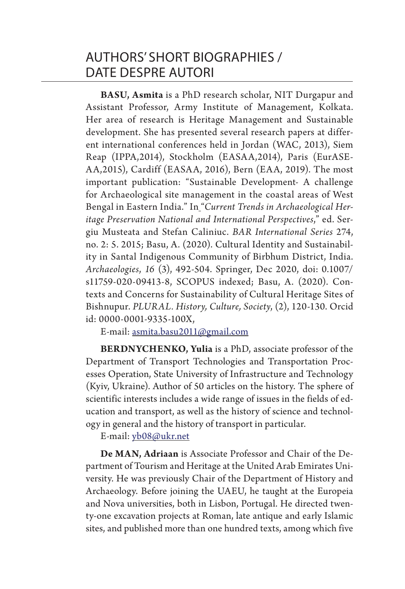**BASU, Asmita** is a PhD research scholar, NIT Durgapur and Assistant Professor, Army Institute of Management, Kolkata. Her area of research is Heritage Management and Sustainable development. She has presented several research papers at different international conferences held in Jordan (WAC, 2013), Siem Reap (IPPA,2014), Stockholm (EASAA,2014), Paris (EurASE-AA,2015), Cardiff (EASAA, 2016), Bern (EAA, 2019). The most important publication: "Sustainable Development- A challenge for Archaeological site management in the coastal areas of West Bengal in Eastern India." In "*Current Trends in Archaeological Heritage Preservation National and International Perspectives*," ed. Sergiu Musteata and Stefan Caliniuc. *BAR International Series* 274, no. 2: 5. 2015; Basu, A. (2020). Cultural Identity and Sustainability in Santal Indigenous Community of Birbhum District, India. *Archaeologies*, *16* (3), 492-504. Springer, Dec 2020, doi: 0.1007/ s11759-020-09413-8, SCOPUS indexed; Basu, A. (2020). Contexts and Concerns for Sustainability of Cultural Heritage Sites of Bishnupur. *PLURAL. History, Culture, Society*, (2), 120-130. Orcid id: 0000-0001-9335-100X,

E-mail: asmita.basu2011@gmail.com

**BERDNYCHENKO, Yulia** is a PhD, associate professor of the Department of Transport Technologies and Transportation Processes Operation, State University of Infrastructure and Technology (Kyiv, Ukraine). Author of 50 articles on the history. The sphere of scientific interests includes a wide range of issues in the fields of education and transport, as well as the history of science and technology in general and the history of transport in particular.

E-mail: yb08@ukr.net

**De MAN, Adriaan** is Associate Professor and Chair of the Department of Tourism and Heritage at the United Arab Emirates University. He was previously Chair of the Department of History and Archaeology. Before joining the UAEU, he taught at the Europeia and Nova universities, both in Lisbon, Portugal. He directed twenty-one excavation projects at Roman, late antique and early Islamic sites, and published more than one hundred texts, among which five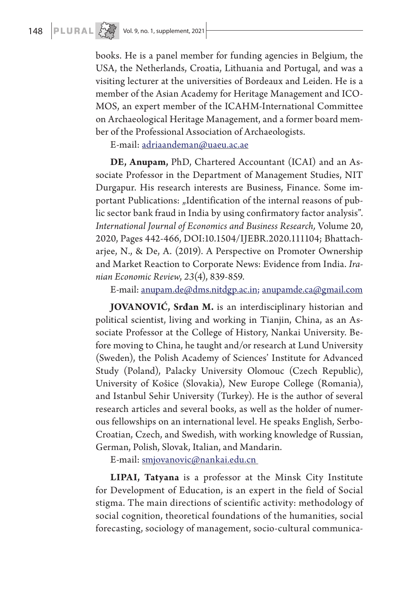books. He is a panel member for funding agencies in Belgium, the USA, the Netherlands, Croatia, Lithuania and Portugal, and was a visiting lecturer at the universities of Bordeaux and Leiden. He is a member of the Asian Academy for Heritage Management and ICO-MOS, an expert member of the ICAHM-International Committee on Archaeological Heritage Management, and a former board member of the Professional Association of Archaeologists.

E-mail: adriaandeman@uaeu.ac.ae

**DE, Anupam,** PhD, Chartered Accountant (ICAI) and an Associate Professor in the Department of Management Studies, NIT Durgapur. His research interests are Business, Finance. Some important Publications: "Identification of the internal reasons of public sector bank fraud in India by using confirmatory factor analysis". *International Journal of Economics and Business Research,* Volume 20, 2020, Pages 442-466, DOI:10.1504/IJEBR.2020.111104; Bhattacharjee, N., & De, A. (2019). A Perspective on Promoter Ownership and Market Reaction to Corporate News: Evidence from India. *Iranian Economic Review*, *23*(4), 839-859.

E-mail: anupam.de@dms.nitdgp.ac.in; anupamde.ca@gmail.com

**JOVANOVIĆ, Srđan M.** is an interdisciplinary historian and political scientist, living and working in Tianjin, China, as an Associate Professor at the College of History, Nankai University. Before moving to China, he taught and/or research at Lund University (Sweden), the Polish Academy of Sciences' Institute for Advanced Study (Poland), Palacky University Olomouc (Czech Republic), University of Košice (Slovakia), New Europe College (Romania), and Istanbul Sehir University (Turkey). He is the author of several research articles and several books, as well as the holder of numerous fellowships on an international level. He speaks English, Serbo-Croatian, Czech, and Swedish, with working knowledge of Russian, German, Polish, Slovak, Italian, and Mandarin.

E-mail: smjovanovic@nankai.edu.cn

**LIPAI, Tatyana** is a professor at the Minsk City Institute for Development of Education, is an expert in the field of Social stigma. The main directions of scientific activity: methodology of social cognition, theoretical foundations of the humanities, social forecasting, sociology of management, socio-cultural communica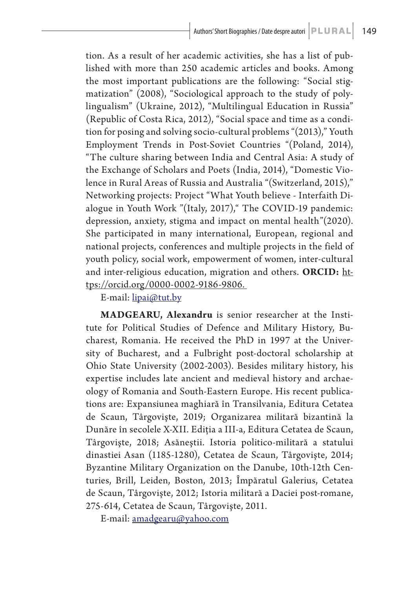tion. As a result of her academic activities, she has a list of published with more than 250 academic articles and books. Among the most important publications are the following: "Social stigmatization" (2008), "Sociological approach to the study of polylingualism" (Ukraine, 2012), "Multilingual Education in Russia" (Republic of Costa Rica, 2012), "Social space and time as a condition for posing and solving socio-cultural problems "(2013)," Youth Employment Trends in Post-Soviet Countries "(Poland, 2014), "The culture sharing between India and Central Asia: A study of the Exchange of Scholars and Poets (India, 2014), "Domestic Violence in Rural Areas of Russia and Australia "(Switzerland, 2015)," Networking projects: Project "What Youth believe - Interfaith Dialogue in Youth Work "(Italy, 2017)," The COVID-19 pandemic: depression, anxiety, stigma and impact on mental health"(2020). She participated in many international, European, regional and national projects, conferences and multiple projects in the field of youth policy, social work, empowerment of women, inter-cultural and inter-religious education, migration and others. **ORCID:** https://orcid.org/0000-0002-9186-9806.

E-mail: lipai@tut.by

**MADGEARU, Alexandru** is senior researcher at the Institute for Political Studies of Defence and Military History, Bucharest, Romania. He received the PhD in 1997 at the University of Bucharest, and a Fulbright post-doctoral scholarship at Ohio State University (2002-2003). Besides military history, his expertise includes late ancient and medieval history and archaeology of Romania and South-Eastern Europe. His recent publications are: Expansiunea maghiară în Transilvania, Editura Cetatea de Scaun, Târgovişte, 2019; Organizarea militară bizantină la Dunăre în secolele X-XII. Ediţia a III-a, Editura Cetatea de Scaun, Târgovişte, 2018; Asăneştii. Istoria politico-militară a statului dinastiei Asan (1185-1280), Cetatea de Scaun, Târgovişte, 2014; Byzantine Military Organization on the Danube, 10th-12th Centuries, Brill, Leiden, Boston, 2013; Împăratul Galerius, Cetatea de Scaun, Târgovişte, 2012; Istoria militară a Daciei post-romane, 275-614, Cetatea de Scaun, Târgovişte, 2011.

E-mail: amadgearu@yahoo.com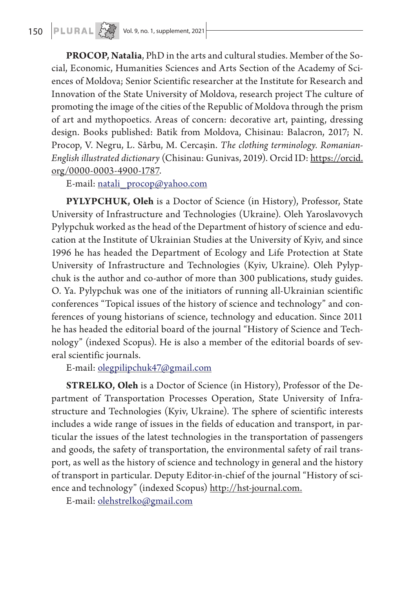**PROCOP, Natalia**, PhD in the arts and cultural studies. Member of the Social, Economic, Humanities Sciences and Arts Section of the Academy of Sciences of Moldova; Senior Scientific researcher at the Institute for Research and Innovation of the State University of Moldova, research project The culture of promoting the image of the cities of the Republic of Moldova through the prism of art and mythopoetics. Areas of concern: decorative art, painting, dressing design. Books published: Batik from Moldova, Chisinau: Balacron, 2017; N. Procop, V. Negru, L. Sârbu, M. Cercașin. *The clothing terminology. Romanian-English illustrated dictionary* (Chisinau: Gunivas, 2019). Orcid ID: https://orcid. org/0000-0003-4900-1787.

E-mail: natali\_procop@yahoo.com

**PYLYPCHUK, Oleh** is a Doctor of Science (in History), Professor, State University of Infrastructure and Technologies (Ukraine). Oleh Yaroslavovych Pylypchuk worked as the head of the Department of history of science and education at the Institute of Ukrainian Studies at the University of Kyiv, and since 1996 he has headed the Department of Ecology and Life Protection at State University of Infrastructure and Technologies (Kyiv, Ukraine). Oleh Pylypchuk is the author and co-author of more than 300 publications, study guides. O. Ya. Pylypchuk was one of the initiators of running all-Ukrainian scientific conferences "Topical issues of the history of science and technology" and conferences of young historians of science, technology and education. Since 2011 he has headed the editorial board of the journal "History of Science and Technology" (indexed Scopus). He is also a member of the editorial boards of several scientific journals.

E-mail: olegpilipchuk47@gmail.com

**STRELKO, Oleh** is a Doctor of Science (in History), Professor of the Department of Transportation Processes Operation, State University of Infrastructure and Technologies (Kyiv, Ukraine). The sphere of scientific interests includes a wide range of issues in the fields of education and transport, in particular the issues of the latest technologies in the transportation of passengers and goods, the safety of transportation, the environmental safety of rail transport, as well as the history of science and technology in general and the history of transport in particular. Deputy Editor-in-chief of the journal "History of science and technology" (indexed Scopus) http://hst-journal.com.

E-mail: olehstrelko@gmail.com